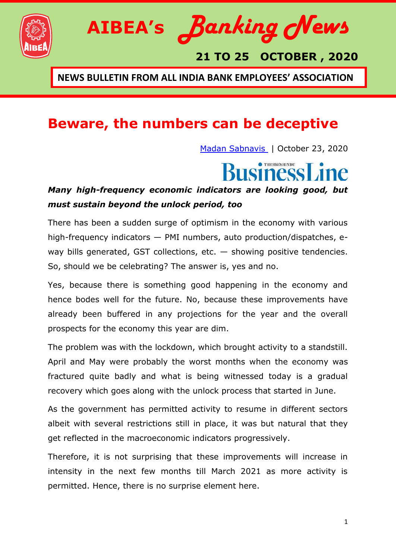



### **21 TO 25 OCTOBER , 2020**

**NEWS BULLETIN FROM ALL INDIA BANK EMPLOYEES' ASSOCIATION**

### **Beware, the numbers can be deceptive**

[Madan Sabnavis](https://www.thehindubusinessline.com/profile/author/Madan-Sabnavis-16344/) | October 23, 2020

# THESSEE HINDU

#### *Many high-frequency economic indicators are looking good, but must sustain beyond the unlock period, too*

There has been a sudden surge of optimism in the economy with various high-frequency indicators — PMI numbers, auto production/dispatches, eway bills generated, GST collections, etc.  $-$  showing positive tendencies. So, should we be celebrating? The answer is, yes and no.

Yes, because there is something good happening in the economy and hence bodes well for the future. No, because these improvements have already been buffered in any projections for the year and the overall prospects for the economy this year are dim.

The problem was with the lockdown, which brought activity to a standstill. April and May were probably the worst months when the economy was fractured quite badly and what is being witnessed today is a gradual recovery which goes along with the unlock process that started in June.

As the government has permitted activity to resume in different sectors albeit with several restrictions still in place, it was but natural that they get reflected in the macroeconomic indicators progressively.

Therefore, it is not surprising that these improvements will increase in intensity in the next few months till March 2021 as more activity is permitted. Hence, there is no surprise element here.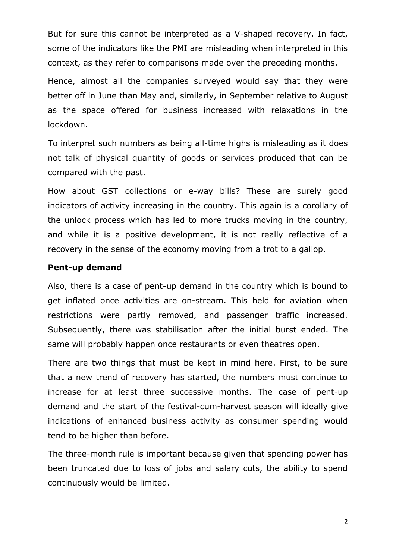But for sure this cannot be interpreted as a V-shaped recovery. In fact, some of the indicators like the PMI are misleading when interpreted in this context, as they refer to comparisons made over the preceding months.

Hence, almost all the companies surveyed would say that they were better off in June than May and, similarly, in September relative to August as the space offered for business increased with relaxations in the lockdown.

To interpret such numbers as being all-time highs is misleading as it does not talk of physical quantity of goods or services produced that can be compared with the past.

How about GST collections or e-way bills? These are surely good indicators of activity increasing in the country. This again is a corollary of the unlock process which has led to more trucks moving in the country, and while it is a positive development, it is not really reflective of a recovery in the sense of the economy moving from a trot to a gallop.

#### **Pent-up demand**

Also, there is a case of pent-up demand in the country which is bound to get inflated once activities are on-stream. This held for aviation when restrictions were partly removed, and passenger traffic increased. Subsequently, there was stabilisation after the initial burst ended. The same will probably happen once restaurants or even theatres open.

There are two things that must be kept in mind here. First, to be sure that a new trend of recovery has started, the numbers must continue to increase for at least three successive months. The case of pent-up demand and the start of the festival-cum-harvest season will ideally give indications of enhanced business activity as consumer spending would tend to be higher than before.

The three-month rule is important because given that spending power has been truncated due to loss of jobs and salary cuts, the ability to spend continuously would be limited.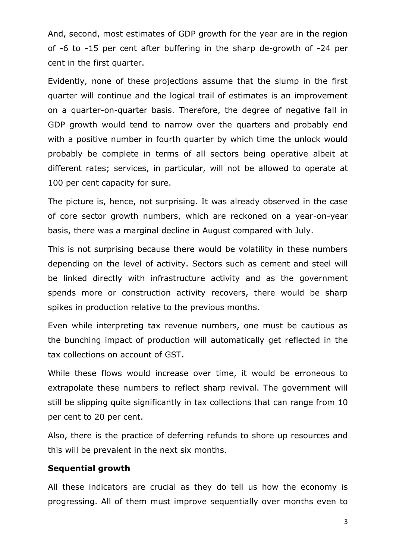And, second, most estimates of GDP growth for the year are in the region of -6 to -15 per cent after buffering in the sharp de-growth of -24 per cent in the first quarter.

Evidently, none of these projections assume that the slump in the first quarter will continue and the logical trail of estimates is an improvement on a quarter-on-quarter basis. Therefore, the degree of negative fall in GDP growth would tend to narrow over the quarters and probably end with a positive number in fourth quarter by which time the unlock would probably be complete in terms of all sectors being operative albeit at different rates; services, in particular, will not be allowed to operate at 100 per cent capacity for sure.

The picture is, hence, not surprising. It was already observed in the case of core sector growth numbers, which are reckoned on a year-on-year basis, there was a marginal decline in August compared with July.

This is not surprising because there would be volatility in these numbers depending on the level of activity. Sectors such as cement and steel will be linked directly with infrastructure activity and as the government spends more or construction activity recovers, there would be sharp spikes in production relative to the previous months.

Even while interpreting tax revenue numbers, one must be cautious as the bunching impact of production will automatically get reflected in the tax collections on account of GST.

While these flows would increase over time, it would be erroneous to extrapolate these numbers to reflect sharp revival. The government will still be slipping quite significantly in tax collections that can range from 10 per cent to 20 per cent.

Also, there is the practice of deferring refunds to shore up resources and this will be prevalent in the next six months.

#### **Sequential growth**

All these indicators are crucial as they do tell us how the economy is progressing. All of them must improve sequentially over months even to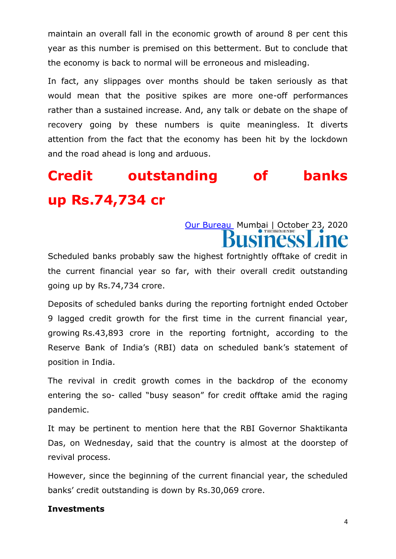maintain an overall fall in the economic growth of around 8 per cent this year as this number is premised on this betterment. But to conclude that the economy is back to normal will be erroneous and misleading.

In fact, any slippages over months should be taken seriously as that would mean that the positive spikes are more one-off performances rather than a sustained increase. And, any talk or debate on the shape of recovery going by these numbers is quite meaningless. It diverts attention from the fact that the economy has been hit by the lockdown and the road ahead is long and arduous.

# **Credit outstanding of banks up Rs.74,734 cr**

### [Our Bureau](https://www.thehindubusinessline.com/profile/author/Our-Bureau-15447/) Mumbai | October 23, 2020 **SINESS**

Scheduled banks probably saw the highest fortnightly offtake of credit in the current financial year so far, with their overall credit outstanding going up by Rs.74,734 crore.

Deposits of scheduled banks during the reporting fortnight ended October 9 lagged credit growth for the first time in the current financial year, growing Rs.43,893 crore in the reporting fortnight, according to the Reserve Bank of India's (RBI) data on scheduled bank's statement of position in India.

The revival in credit growth comes in the backdrop of the economy entering the so- called "busy season" for credit offtake amid the raging pandemic.

It may be pertinent to mention here that the RBI Governor Shaktikanta Das, on Wednesday, said that the country is almost at the doorstep of revival process.

However, since the beginning of the current financial year, the scheduled banks' credit outstanding is down by Rs.30,069 crore.

#### **Investments**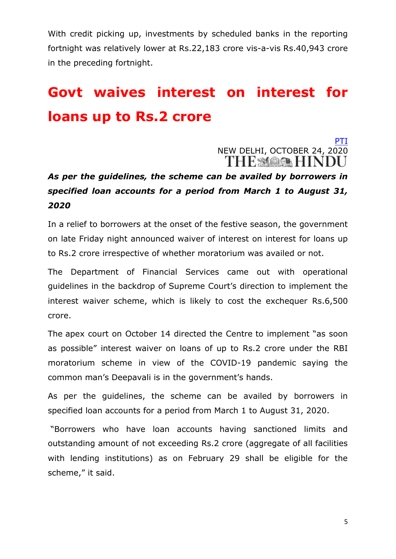With credit picking up, investments by scheduled banks in the reporting fortnight was relatively lower at Rs.22,183 crore vis-a-vis Rs.40,943 crore in the preceding fortnight.

# **Govt waives interest on interest for loans up to Rs.2 crore**

[PTI](https://www.thehindu.com/business/Industry/govt-waives-interest-on-interest-for-loans-up-to-2-crore/article32935732.ece?homepage=true) NEW DELHI, OCTOBER 24, 2020 THE MARK HINDU

### *As per the guidelines, the scheme can be availed by borrowers in specified loan accounts for a period from March 1 to August 31, 2020*

In a relief to borrowers at the onset of the festive season, the government on late Friday night announced waiver of interest on interest for loans up to Rs.2 crore irrespective of whether moratorium was availed or not.

The Department of Financial Services came out with operational guidelines in the backdrop of Su[preme Court's direction to implement the](https://www.thehindu.com/news/national/will-waive-compound-interest-for-loans-up-to-2-crore-govt-informs-supreme-court/article32758208.ece)  [interest waiver scheme,](https://www.thehindu.com/news/national/will-waive-compound-interest-for-loans-up-to-2-crore-govt-informs-supreme-court/article32758208.ece) which is likely to cost the exchequer Rs.6,500 crore.

The [apex court on October 14 directed the Centre](https://www.thehindu.com/news/national/loan-borrowers-diwali-is-in-your-hands-sc-tells-govt/article32854140.ece) to implement "as soon as possible" interest waiver on loans of up to Rs.2 crore under the RBI moratorium scheme in view of the COVID-19 pandemic saying the common man's Deepavali is in the government's hands.

As per the guidelines, the scheme can be availed by borrowers in specified loan accounts for a period from March 1 to August 31, 2020.

―Borrowers who have loan accounts having sanctioned limits and outstanding amount of not exceeding Rs.2 crore (aggregate of all facilities with lending institutions) as on February 29 shall be eligible for the scheme," it said.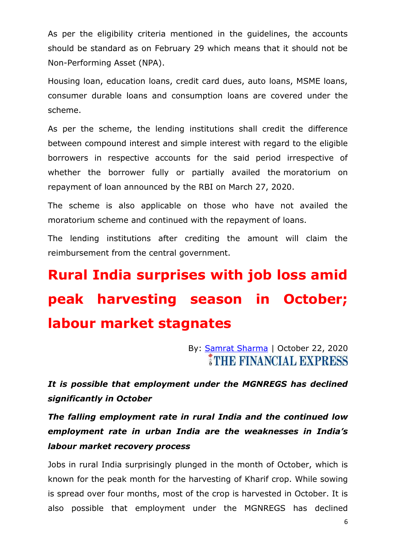As per the eligibility criteria mentioned in the guidelines, the accounts should be standard as on February 29 which means that it should not be Non-Performing Asset (NPA).

Housing loan, education loans, credit card dues, auto loans, MSME loans, consumer durable loans and consumption loans are covered under the scheme.

As per the scheme, the lending institutions shall credit the difference between compound interest and simple interest with regard to the eligible borrowers in respective accounts for the said period irrespective of whether the borrower fully or partially availed the [moratorium on](https://www.thehindu.com/news/national/loan-moratorium-extendable-to-two-years-centre-tells-supreme-court/article32494024.ece)  [repayment of loan](https://www.thehindu.com/news/national/loan-moratorium-extendable-to-two-years-centre-tells-supreme-court/article32494024.ece) announced by the RBI on March 27, 2020.

The scheme is also applicable on those who have not availed the moratorium scheme and continued with the repayment of loans.

The lending institutions after crediting the amount will claim the reimbursement from the central government.

# **Rural India surprises with job loss amid peak harvesting season in October; labour market stagnates**

By: **[Samrat Sharma](https://www.financialexpress.com/author/samrat-sharma/)** | October 22, 2020 **THE FINANCIAL EXPRESS** 

*It is possible that employment under the MGNREGS has declined significantly in October*

*The falling employment rate in rural India and the continued low employment rate in urban India are the weaknesses in India's labour market recovery process*

Jobs in rural India surprisingly plunged in the month of October, which is known for the peak month for the harvesting of Kharif crop. While sowing is spread over four months, most of the crop is harvested in October. It is also possible that employment under the MGNREGS has declined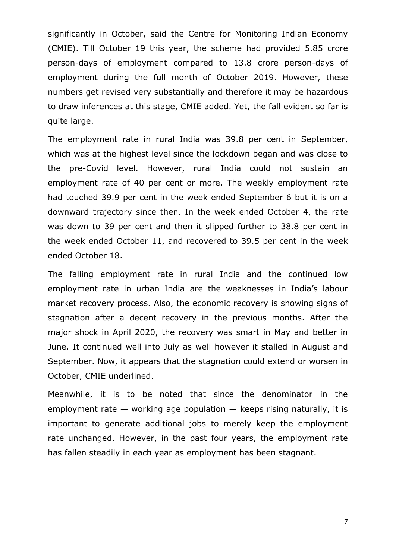significantly in October, said the Centre for Monitoring Indian Economy (CMIE). Till October 19 this year, the scheme had provided 5.85 crore person-days of employment compared to 13.8 crore person-days of employment during the full month of October 2019. However, these numbers get revised very substantially and therefore it may be hazardous to draw inferences at this stage, CMIE added. Yet, the fall evident so far is quite large.

The employment rate in rural India was 39.8 per cent in September, which was at the highest level since the lockdown began and was close to the pre-Covid level. However, rural India could not sustain an employment rate of 40 per cent or more. The weekly employment rate had touched 39.9 per cent in the week ended September 6 but it is on a downward trajectory since then. In the week ended October 4, the rate was down to 39 per cent and then it slipped further to 38.8 per cent in the week ended October 11, and recovered to 39.5 per cent in the week ended October 18.

The falling employment rate in rural India and the continued low employment rate in urban India are the weaknesses in India's labour market recovery process. Also, the economic recovery is showing signs of stagnation after a decent recovery in the previous months. After the major shock in April 2020, the recovery was smart in May and better in June. It continued well into July as well however it stalled in August and September. Now, it appears that the stagnation could extend or worsen in October, CMIE underlined.

Meanwhile, it is to be noted that since the denominator in the employment rate  $-$  working age population  $-$  keeps rising naturally, it is important to generate additional jobs to merely keep the employment rate unchanged. However, in the past four years, the employment rate has fallen steadily in each year as employment has been stagnant.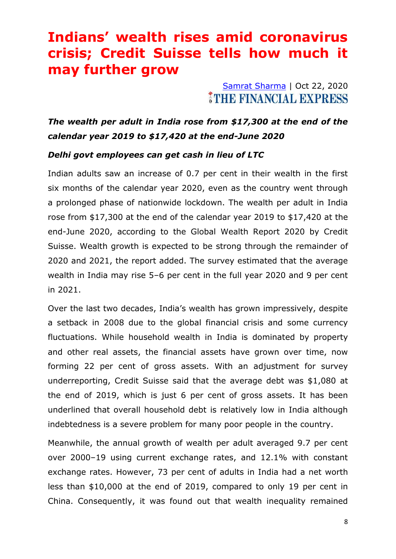# **Indians' wealth rises amid coronavirus crisis; Credit Suisse tells how much it may further grow**

#### [Samrat Sharma](https://www.financialexpress.com/author/samrat-sharma/) | Oct 22, 2020 THE FINANCIAL EXPRESS

*The wealth per adult in India rose from \$17,300 at the end of the calendar year 2019 to \$17,420 at the end-June 2020*

#### *Delhi govt employees can get cash in lieu of LTC*

Indian adults saw an increase of 0.7 per cent in their wealth in the first six months of the calendar year 2020, even as the country went through a prolonged phase of nationwide lockdown. The wealth per adult in India rose from \$17,300 at the end of the calendar year 2019 to \$17,420 at the end-June 2020, according to the Global Wealth Report 2020 by Credit Suisse. Wealth growth is expected to be strong through the remainder of 2020 and 2021, the report added. The survey estimated that the average wealth in India may rise 5–6 per cent in the full year 2020 and 9 per cent in 2021.

Over the last two decades, India's wealth has grown impressively, despite a setback in 2008 due to the global financial crisis and some currency fluctuations. While household wealth in India is dominated by property and other real assets, the financial assets have grown over time, now forming 22 per cent of gross assets. With an adjustment for survey underreporting, Credit Suisse said that the average debt was \$1,080 at the end of 2019, which is just 6 per cent of gross assets. It has been underlined that overall household debt is relatively low in India although indebtedness is a severe problem for many poor people in the country.

Meanwhile, the annual growth of wealth per adult averaged 9.7 per cent over 2000–19 using current exchange rates, and 12.1% with constant exchange rates. However, 73 per cent of adults in India had a net worth less than \$10,000 at the end of 2019, compared to only 19 per cent in China. Consequently, it was found out that wealth inequality remained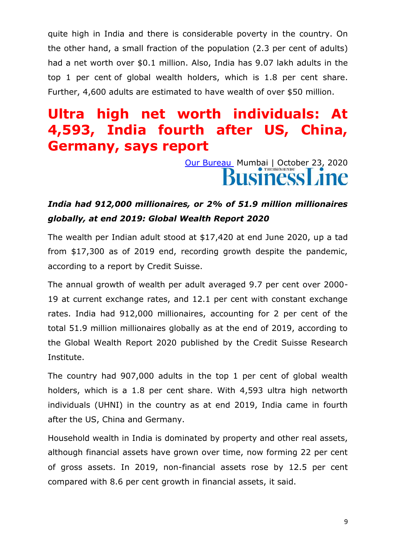quite high in India and there is considerable poverty in the country. On the other hand, a small fraction of the population (2.3 per cent of adults) had a net worth over \$0.1 million. Also, India has 9.07 lakh adults in the top 1 per cent of global wealth holders, which is 1.8 per cent share. Further, 4,600 adults are estimated to have wealth of over \$50 million.

# **Ultra high net worth individuals: At 4,593, India fourth after US, China, Germany, says report**

[Our Bureau](https://www.thehindubusinessline.com/profile/author/Our-Bureau-15447/) Mumbai | October 23, 2020

#### *India had 912,000 millionaires, or 2% of 51.9 million millionaires globally, at end 2019: Global Wealth Report 2020*

The wealth per Indian adult stood at \$17,420 at end June 2020, up a tad from \$17,300 as of 2019 end, recording growth despite the pandemic, according to a report by Credit Suisse.

The annual growth of wealth per adult averaged 9.7 per cent over 2000- 19 at current exchange rates, and 12.1 per cent with constant exchange rates. India had 912,000 millionaires, accounting for 2 per cent of the total 51.9 million millionaires globally as at the end of 2019, according to the Global Wealth Report 2020 published by the Credit Suisse Research Institute.

The country had 907,000 adults in the top 1 per cent of global wealth holders, which is a 1.8 per cent share. With 4,593 ultra high networth individuals (UHNI) in the country as at end 2019, India came in fourth after the US, China and Germany.

Household wealth in India is dominated by property and other real assets, although financial assets have grown over time, now forming 22 per cent of gross assets. In 2019, non-financial assets rose by 12.5 per cent compared with 8.6 per cent growth in financial assets, it said.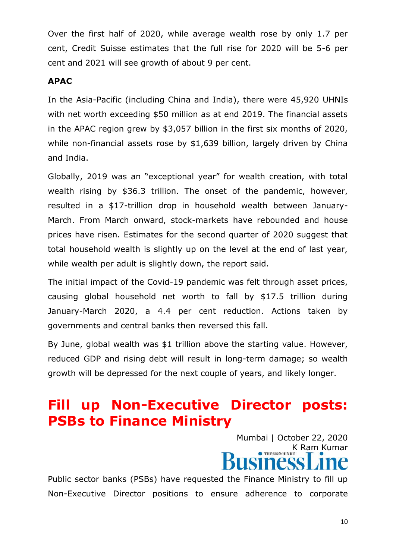Over the first half of 2020, while average wealth rose by only 1.7 per cent, Credit Suisse estimates that the full rise for 2020 will be 5-6 per cent and 2021 will see growth of about 9 per cent.

#### **APAC**

In the Asia-Pacific (including China and India), there were 45,920 UHNIs with net worth exceeding \$50 million as at end 2019. The financial assets in the APAC region grew by \$3,057 billion in the first six months of 2020, while non-financial assets rose by \$1,639 billion, largely driven by China and India.

Globally, 2019 was an "exceptional year" for wealth creation, with total wealth rising by \$36.3 trillion. The onset of the pandemic, however, resulted in a \$17-trillion drop in household wealth between January-March. From March onward, stock-markets have rebounded and house prices have risen. Estimates for the second quarter of 2020 suggest that total household wealth is slightly up on the level at the end of last year, while wealth per adult is slightly down, the report said.

The initial impact of the Covid-19 pandemic was felt through asset prices, causing global household net worth to fall by \$17.5 trillion during January-March 2020, a 4.4 per cent reduction. Actions taken by governments and central banks then reversed this fall.

By June, global wealth was \$1 trillion above the starting value. However, reduced GDP and rising debt will result in long-term damage; so wealth growth will be depressed for the next couple of years, and likely longer.

# **Fill up Non-Executive Director posts: PSBs to Finance Ministry**

Mumbai | October 22, 2020 K Ram Kumar

Public sector banks (PSBs) have requested the Finance Ministry to fill up Non-Executive Director positions to ensure adherence to corporate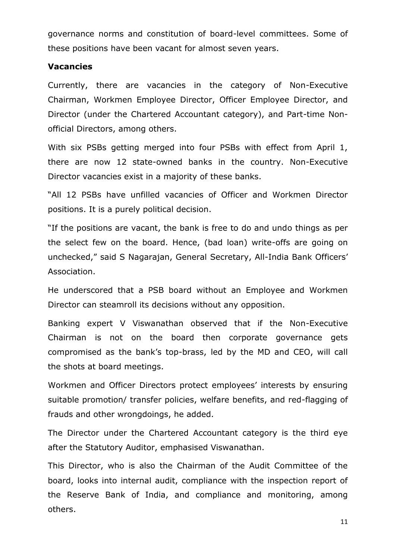governance norms and constitution of board-level committees. Some of these positions have been vacant for almost seven years.

#### **Vacancies**

Currently, there are vacancies in the category of Non-Executive Chairman, Workmen Employee Director, Officer Employee Director, and Director (under the Chartered Accountant category), and Part-time Nonofficial Directors, among others.

With six PSBs getting merged into four PSBs with effect from April 1, there are now 12 state-owned banks in the country. Non-Executive Director vacancies exist in a majority of these banks.

"All 12 PSBs have unfilled vacancies of Officer and Workmen Director positions. It is a purely political decision.

"If the positions are vacant, the bank is free to do and undo things as per the select few on the board. Hence, (bad loan) write-offs are going on unchecked," said S Nagarajan, General Secretary, All-India Bank Officers' Association.

He underscored that a PSB board without an Employee and Workmen Director can steamroll its decisions without any opposition.

Banking expert V Viswanathan observed that if the Non-Executive Chairman is not on the board then corporate governance gets compromised as the bank's top-brass, led by the MD and CEO, will call the shots at board meetings.

Workmen and Officer Directors protect employees' interests by ensuring suitable promotion/ transfer policies, welfare benefits, and red-flagging of frauds and other wrongdoings, he added.

The Director under the Chartered Accountant category is the third eye after the Statutory Auditor, emphasised Viswanathan.

This Director, who is also the Chairman of the Audit Committee of the board, looks into internal audit, compliance with the inspection report of the Reserve Bank of India, and compliance and monitoring, among others.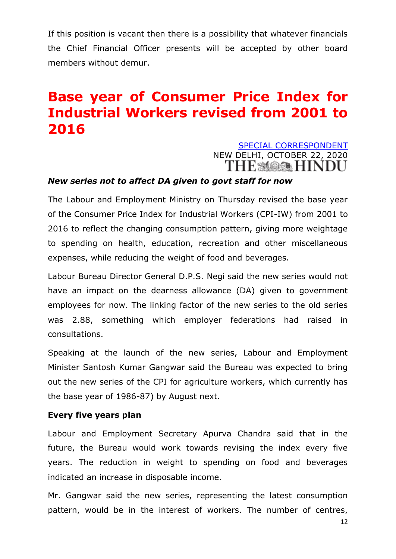If this position is vacant then there is a possibility that whatever financials the Chief Financial Officer presents will be accepted by other board members without demur.

# **Base year of Consumer Price Index for Industrial Workers revised from 2001 to 2016**

# [SPECIAL CORRESPONDENT](https://www.thehindu.com/business/Economy/cpi-iw-base-year-revised-from-2001-to-2016/article32916619.ece) NEW DELHI, OCTOBER 22, 2020

#### *New series not to affect DA given to govt staff for now*

The Labour and Employment Ministry on Thursday revised the base year of the Consumer Price Index for Industrial Workers (CPI-IW) from 2001 to 2016 to reflect the changing consumption pattern, giving more weightage to spending on health, education, recreation and other miscellaneous expenses, while reducing the weight of food and beverages.

Labour Bureau Director General D.P.S. Negi said the new series would not have an impact on the dearness allowance (DA) given to government employees for now. The linking factor of the new series to the old series was 2.88, something which employer federations had raised in consultations.

Speaking at the launch of the new series, Labour and Employment Minister Santosh Kumar Gangwar said the Bureau was expected to bring out the new series of the CPI for agriculture workers, which currently has the base year of 1986-87) by August next.

#### **Every five years plan**

Labour and Employment Secretary Apurva Chandra said that in the future, the Bureau would work towards revising the index every five years. The reduction in weight to spending on food and beverages indicated an increase in disposable income.

Mr. Gangwar said the new series, representing the latest consumption pattern, would be in the interest of workers. The number of centres,